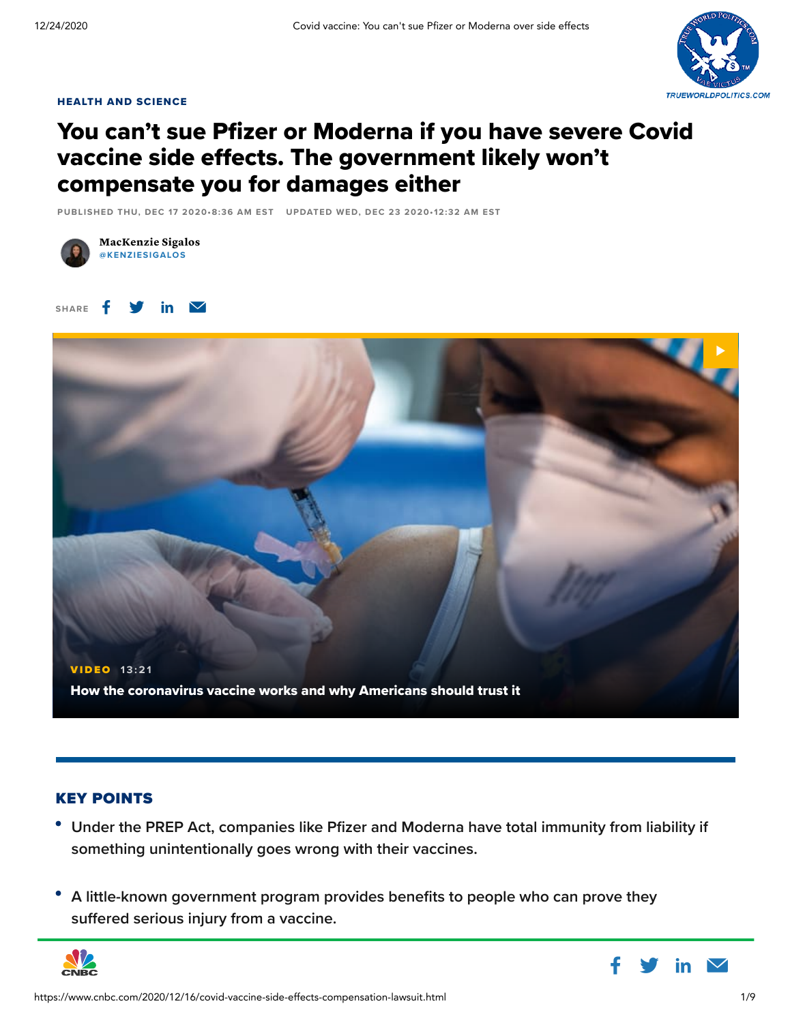

### HEALTH AND [SCIENCE](https://www.cnbc.com/health-and-science/)

## You can't sue Pfizer or Moderna if you have severe Covid vaccine side effects. The government likely won't compensate you for damages either

PUBLISHED THU, DEC 17 2020•8:36 AM EST UPDATED WED, DEC 23 2020• 12:32 AM EST







### KEY POINTS

- **Under the PREP Act, companies like Pfizer and Moderna have total immunity from liability if something unintentionally goes wrong with their vaccines.**
- **A little-known government program provides benefits to people who can prove they suffered serious injury from a vaccine.**



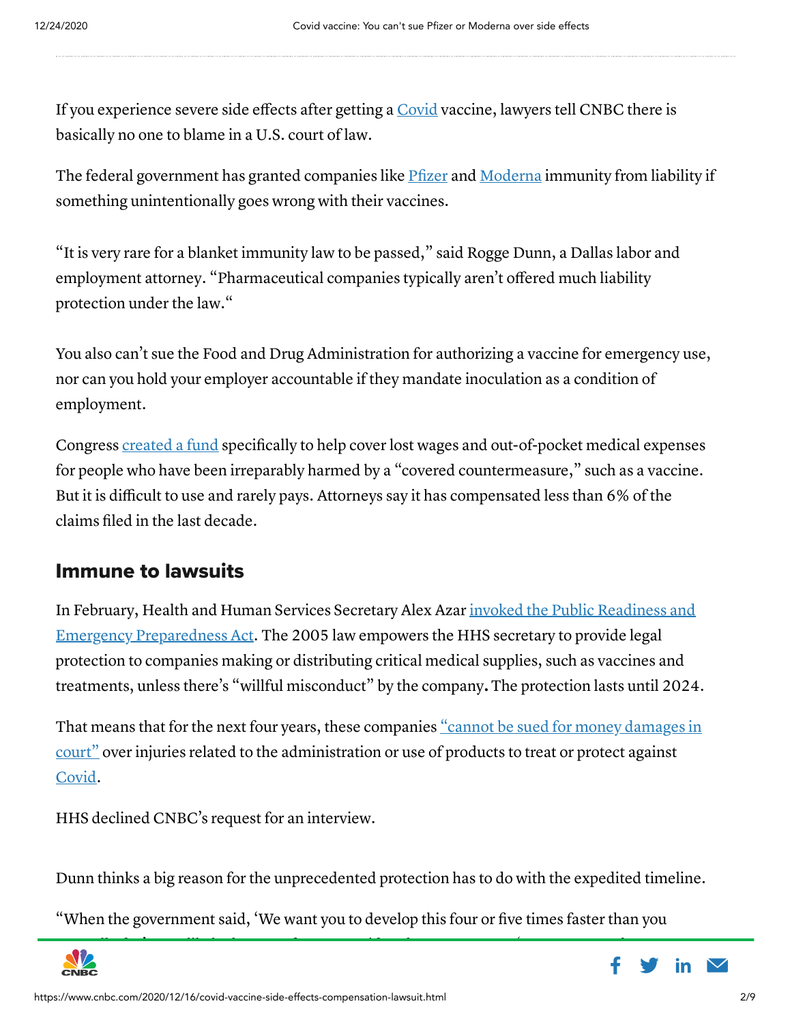If you experience severe side effects after getting a [Covid](https://www.cnbc.com/2020/12/15/coronavirus-live-updates.html) vaccine, lawyers tell CNBC there is basically no one to blame in a U.S. court of law.

The federal government has granted companies like [Pfizer](https://www.cnbc.com/quotes/?symbol=PFE) and [Moderna](https://www.cnbc.com/quotes/?symbol=MRNA) immunity from liability if something unintentionally goes wrong with their vaccines.

"It is very rare for a blanket immunity law to be passed," said Rogge Dunn, a Dallas labor and employment attorney. "Pharmaceutical companies typically aren't offered much liability protection under the law."

You also can't sue the Food and Drug Administration for authorizing a vaccine for emergency use, nor can you hold your employer accountable if they mandate inoculation as a condition of employment.

Congress [created](https://www.federalregister.gov/documents/2010/10/15/2010-25110/countermeasures-injury-compensation-program-cicp-administrative-implementation-interim-final-rule) a fund specifically to help cover lost wages and out-of-pocket medical expenses for people who have been irreparably harmed by a "covered countermeasure," such as a vaccine. But it is difficult to use and rarely pays. Attorneys say it has compensated less than 6% of the claims filed in the last decade.

### Immune to lawsuits

In February, Health and Human Services Secretary Alex Azar invoked the Public Readiness and Emergency Preparedness Act. The 2005 law empowers the [HHS secretary](http://govinfo.gov/content/pkg/FR-2020-03-17/pdf/2020-05484.pdf) to provide legal protection to companies making or distributing critical medical supplies, such as vaccines and treatments, unless there's "willful misconduct" by the company.The protection lasts until 2024.

That means that for the next four years, these companies "cannot be sued for money damages in court" over injuries related to the [administration](https://crsreports.congress.gov/product/pdf/LSB/LSB10443) or use of products to treat or protect against [Covid.](https://www.cnbc.com/coronavirus/)

HHS declined CNBC's request for an interview.

Dunn thinks a big reason for the unprecedented protection has to do with the expedited timeline.

"When the government said, 'We want you to develop this four or five times faster than you



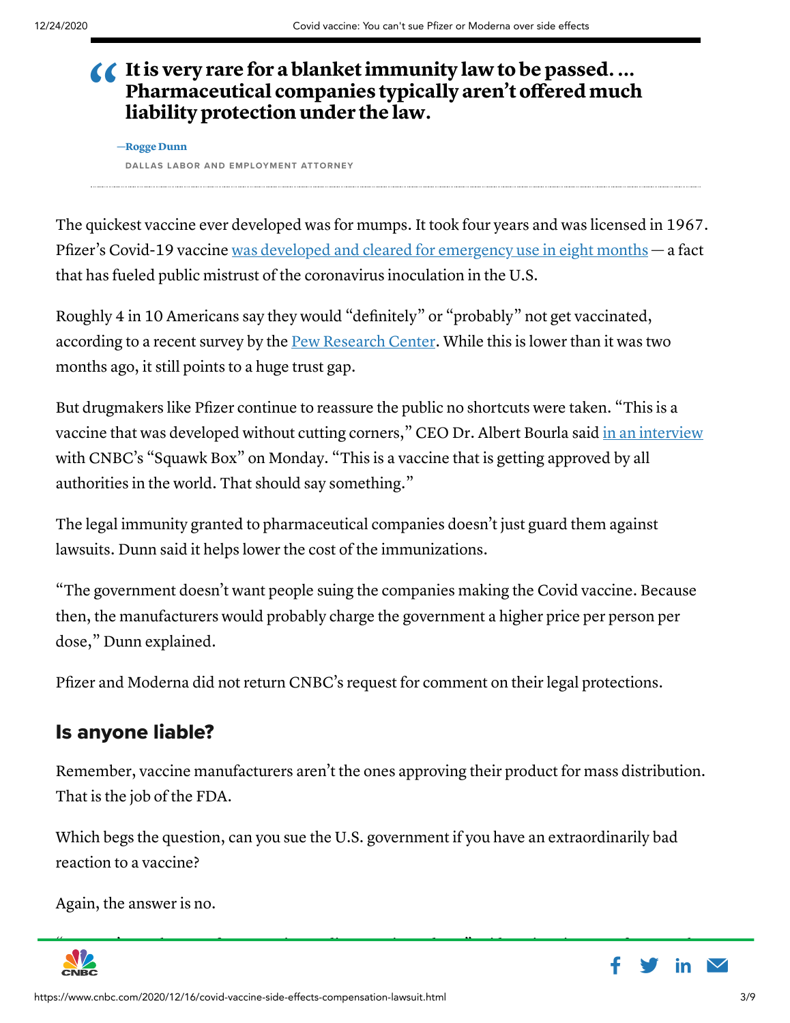### $\triangle$  It is very rare for a blanket immunity law to be passed.... Pharmaceutical companies typically aren't offered much liability protection under the law.

DALLAS LABOR AND EMPLOYMENT ATTORNEY —Rogge Dunn

The quickest vaccine ever developed was for mumps. It took four years and was licensed in 1967. Pfizer's Covid-19 vaccine was developed and cleared for [emergency](https://www.cnbc.com/coronavirus-vaccine-treatment-news/) use in eight months — a fact that has fueled public mistrust of the coronavirus inoculation in the U.S.

Roughly 4 in 10 Americans say they would "definitely" or "probably" not get vaccinated, according to a recent survey by the **Pew [Research](https://www.pewresearch.org/science/2020/12/03/intent-to-get-a-covid-19-vaccine-rises-to-60-as-confidence-in-research-and-development-process-increases/) Center**. While this is lower than it was two months ago, it still points to a huge trust gap.

But drugmakers like Pfizer continue to reassure the public no shortcuts were taken. "This is a vaccine that was developed without cutting corners," CEO Dr. Albert Bourla said in an [interview](https://www.cnbc.com/video/2020/12/14/pfizer-ceo-albert-bourla-on-vaccine-hesitancy-trust-science.html) with CNBC's "Squawk Box" on Monday. "This is a vaccine that is getting approved by all authorities in the world. That should say something."

The legal immunity granted to pharmaceutical companies doesn't just guard them against lawsuits. Dunn said it helps lower the cost of the immunizations.

"The government doesn't want people suing the companies making the Covid vaccine. Because then, the manufacturers would probably charge the government a higher price per person per dose," Dunn explained.

Pfizer and Moderna did not return CNBC's request for comment on their legal protections.

### Is anyone liable?

Remember, vaccine manufacturers aren't the ones approving their product for mass distribution. That is the job of the FDA.

Which begs the question, can you sue the U.S. government if you have an extraordinarily bad reaction to a vaccine?

Again, the answer is no.



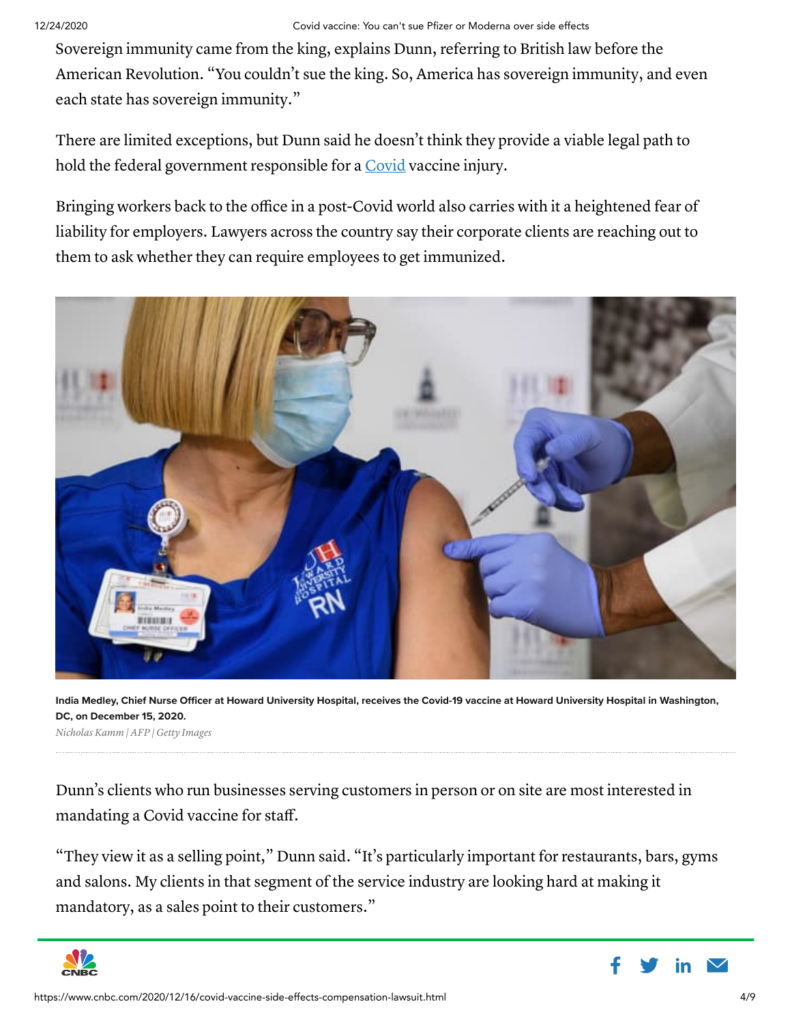Sovereign immunity came from the king, explains Dunn, referring to British law before the American Revolution. "You couldn't sue the king. So, America has sovereign immunity, and even each state has sovereign immunity."

There are limited exceptions, but Dunn said he doesn't think they provide a viable legal path to hold the federal government responsible for a [Covid](https://www.cnbc.com/coronavirus/) vaccine injury.

Bringing workers back to the office in a post-Covid world also carries with it a heightened fear of liability for employers. Lawyers across the country say their corporate clients are reaching out to them to ask whether they can require employees to get immunized.



India Medley, Chief Nurse Officer at Howard University Hospital, receives the Covid-19 vaccine at Howard University Hospital in Washington, DC, on December 15, 2020.

Nicholas Kamm | AFP | Getty Images

Dunn's clients who run businesses serving customers in person or on site are most interested in mandating a Covid vaccine for staff.

"They view it as a selling point," Dunn said. "It's particularly important for restaurants, bars, gyms and salons. My clients in that segment of the service industry are looking hard at making it mandatory, as a sales point to their customers."



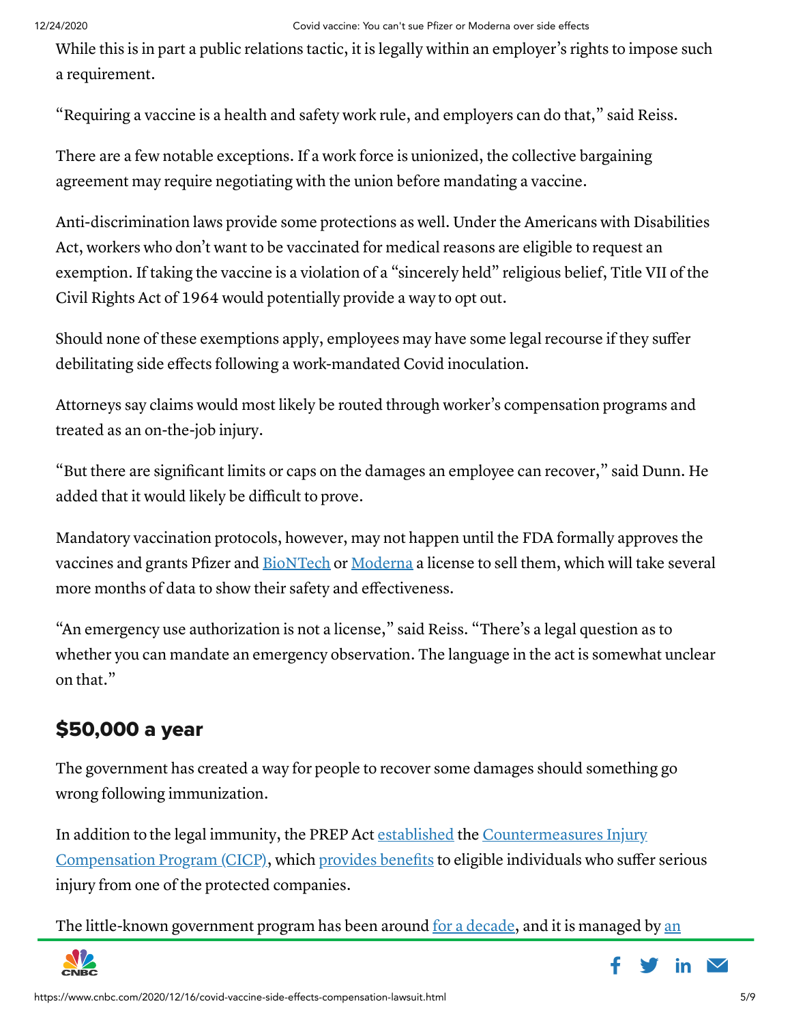#### 12/24/2020 Covid vaccine: You can't sue Pfizer or Moderna over side effects

While this is in part a public relations tactic, it is legally within an employer's rights to impose such a requirement.

"Requiring a vaccine is a health and safety work rule, and employers can do that," said Reiss.

There are a few notable exceptions. If a work force is unionized, the collective bargaining agreement may require negotiating with the union before mandating a vaccine.

Anti-discrimination laws provide some protections as well. Under the Americans with Disabilities Act, workers who don't want to be vaccinated for medical reasons are eligible to request an exemption. If taking the vaccine is a violation of a "sincerely held" religious belief, Title VII of the Civil Rights Act of 1964 would potentially provide a way to opt out.

Should none of these exemptions apply, employees may have some legal recourse if they suffer debilitating side effects following a work-mandated Covid inoculation.

Attorneys say claims would most likely be routed through worker's compensation programs and treated as an on-the-job injury.

"But there are significant limits or caps on the damages an employee can recover," said Dunn. He added that it would likely be difficult to prove.

Mandatory vaccination protocols, however, may not happen until the FDA formally approves the vaccines and grants Pfizer and [BioNTech](https://www.cnbc.com/quotes/?symbol=BNTX) or [Moderna](https://www.cnbc.com/quotes/?symbol=MRNA) a license to sell them, which will take several more months of data to show their safety and effectiveness.

"An emergency use authorization is not a license," said Reiss. "There's a legal question as to whether you can mandate an emergency observation. The language in the act is somewhat unclear on that."

# \$50,000 a year

The government has created a way for people to recover some damages should something go wrong following immunization.

In addition to the legal immunity, the PREP Act [established](https://www.hrsa.gov/cicp/about#:~:text=In%20addition%20to%20liability%20protections,by%20the%20Secretary%20pursuant%20to) the [Countermeasures](https://www.hrsa.gov/cicp/about) Injury Compensation Program (CICP), which [provides](https://www.hrsa.gov/cicp/filing-benefits) benefits to eligible individuals who suffer serious injury from one of the protected companies.

The [little-known](https://www.hrsa.gov/about/index.html#:~:text=The%20Health%20Resources%20and%20Services,isolated%2C%20economically%20or%20medically%20vulnerable.&text=HRSA%20oversees%20organ%2C%20bone%20marrow%20and%20cord%20blood%20donation.) government program has been around for a [decade](https://www.cdc.gov/mmwr/preview/mmwrhtml/mm5925a5.htm), and it is managed by an



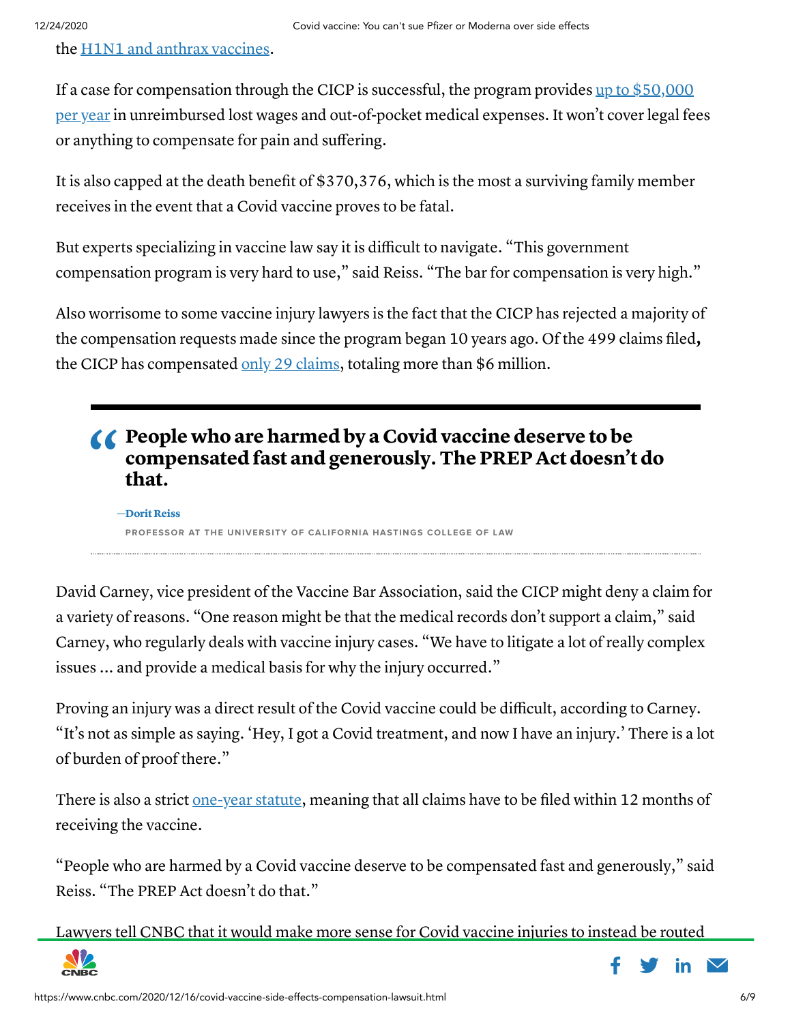the H1N1 and anthrax [vaccines.](https://www.hrsa.gov/get-health-care/conditions/counter-measures-comp/cm-prep.html)

If a case for [compensation](https://www.hrsa.gov/sites/default/files/hrsa/cicp/cicp-request-form-instructions.pdf) through the CICP is successful, the program provides up to  $$50,000$ per year in unreimbursed lost wages and out-of-pocket medical expenses. It won't cover legal fees or anything to compensate for pain and suffering.

It is also capped at the death benefit of \$370,376, which is the most a surviving family member receives in the event that a Covid vaccine proves to be fatal.

But experts specializing in vaccine law say it is difficult to navigate. "This government compensation program is very hard to use," said Reiss. "The bar for compensation is very high."

Also worrisome to some vaccine injury lawyers is the fact that the CICP has rejected a majority of the compensation requests made since the program began 10 years ago. Of the 499 claims filed, the CICP has compensated  $\frac{only}{29}$  [claims](https://www.hrsa.gov/cicp/cicp-data), totaling more than \$6 million.

### **CO** People who are harmed by a Covid vaccine deserve to be compensated fast and generously. The PREP Act doesn't do that.

PROFESSOR AT THE UNIVERSITY OF CALIFORNIA HASTINGS COLLEGE OF LAW —Dorit Reiss

David Carney, vice president of the Vaccine Bar Association, said the CICP might deny a claim for a variety of reasons. "One reason might be that the medical records don't support a claim," said Carney, who regularly deals with vaccine injury cases. "We have to litigate a lot of really complex issues ... and provide a medical basis for why the injury occurred."

Proving an injury was a direct result of the Covid vaccine could be difficult, according to Carney. "It's not as simple as saying. 'Hey, I got a Covid treatment, and now I have an injury.' There is a lot of burden of proof there."

There is also a strict [one-year](https://www.hrsa.gov/sites/default/files/hrsa/cicp/cicp-request-form-instructions.pdf) statute, meaning that all claims have to be filed within 12 months of receiving the vaccine.

"People who are harmed by a Covid vaccine deserve to be compensated fast and generously," said Reiss. "The PREP Act doesn't do that."

Lawyers tell CNBC that it would make more sense for Covid vaccine injuries to instead be routed



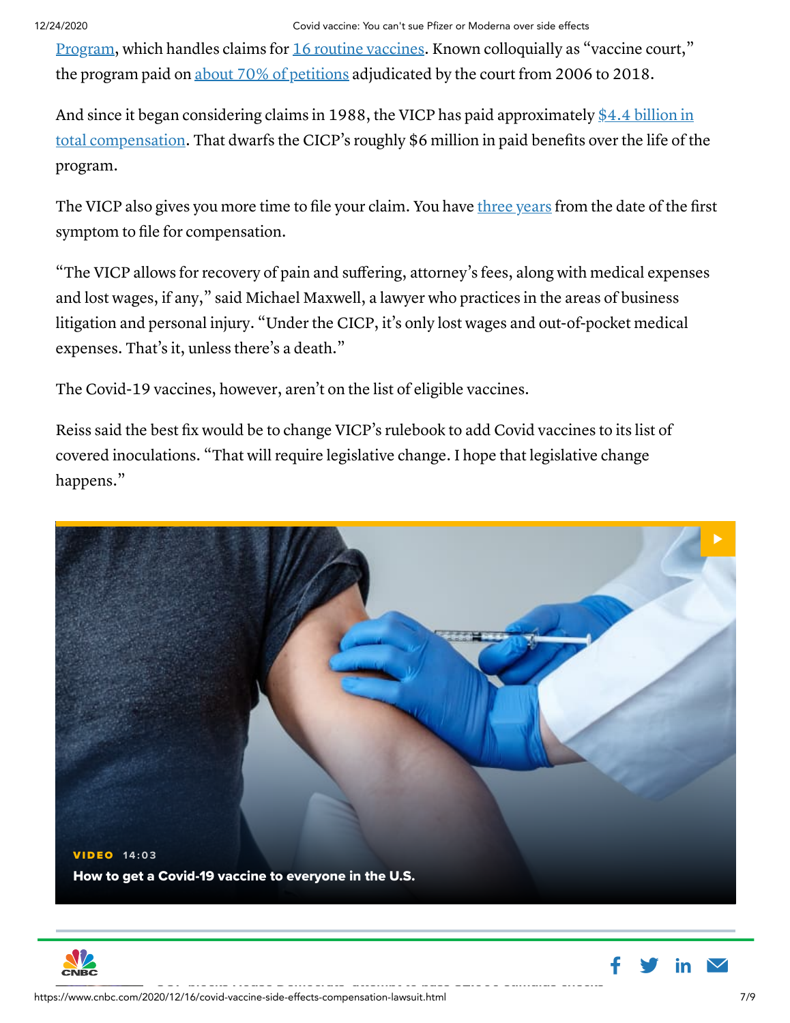#### 12/24/2020 Covid vaccine: You can't sue Pfizer or Moderna over side effects

Program, which handles claims for 16 routine [vaccines.](https://www.hrsa.gov/vaccine-compensation/covered-vaccines/index.html) Known [colloquially](https://www.hrsa.gov/vaccine-compensation/index.html) as "vaccine court," the program paid on about 70% of [petitions](https://www.hrsa.gov/sites/default/files/hrsa/vaccine-compensation/data/data-statistics-report.pdf) adjudicated by the court from 2006 to 2018.

And since it began [considering claims](https://www.hrsa.gov/sites/default/files/hrsa/vaccine-compensation/data/data-statistics-report.pdf) in 1988, the VICP has paid approximately \$4.4 billion in total compensation. That dwarfs the CICP's roughly \$6 million in paid benefits over the life of the program.

The VICP also gives you more time to file your claim. You have three [years](https://www.law.cornell.edu/uscode/text/42/300aa-16) from the date of the first symptom to file for compensation.

"The VICP allows for recovery of pain and suffering, attorney's fees, along with medical expenses and lost wages, if any," said Michael Maxwell, a lawyer who practices in the areas of business litigation and personal injury. "Under the CICP, it's only lost wages and out-of-pocket medical expenses. That's it, unless there's a death."

The Covid-19 vaccines, however, aren't on the list of eligible vaccines.

Reiss said the best fix would be to change VICP's rulebook to add Covid vaccines to its list of covered inoculations. "That will require legislative change. I hope that legislative change happens."





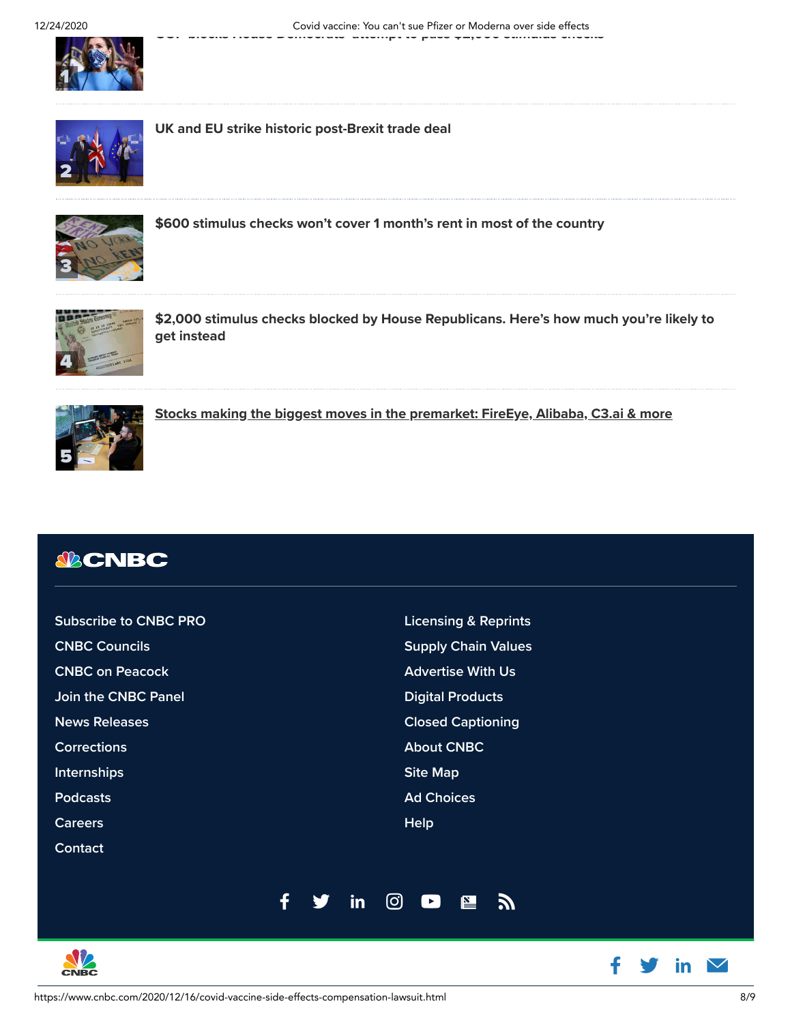[2](https://www.cnbc.com/2020/12/24/brexit-uk-eu-strike-historic-trade-deal.html)



[UK and EU strike historic post-Brexit trade deal](https://www.cnbc.com/2020/12/24/brexit-uk-eu-strike-historic-trade-deal.html)



[\\$600 stimulus checks won't cover 1 month's rent in most of the country](https://www.cnbc.com/2020/12/24/600-dollar-stimulus-checks-wont-cover-one-months-rent-in-most-of-the-country-.html)



[\\$2,000 stimulus checks blocked by House Republicans. Here's how much you're likely to](https://www.cnbc.com/2020/12/24/2000-stimulus-checks-fail-to-pass-house-600-likely-coming-instead.html) get instead



[Stocks making the biggest moves in the premarket: FireEye, Alibaba, C3.ai & more](https://www.cnbc.com/2020/12/24/stocks-making-the-biggest-moves-in-the-premarket-fireeye-alibaba-c3ai-more.html)

## *<u>SBCNBC</u>*

| <b>Subscribe to CNBC PRO</b> |  |    | <b>Licensing &amp; Reprints</b>                         |  |
|------------------------------|--|----|---------------------------------------------------------|--|
| <b>CNBC Councils</b>         |  |    | <b>Supply Chain Values</b>                              |  |
| <b>CNBC on Peacock</b>       |  |    | <b>Advertise With Us</b>                                |  |
| <b>Join the CNBC Panel</b>   |  |    | <b>Digital Products</b>                                 |  |
| <b>News Releases</b>         |  |    | <b>Closed Captioning</b>                                |  |
| <b>Corrections</b>           |  |    | <b>About CNBC</b>                                       |  |
| <b>Internships</b>           |  |    | <b>Site Map</b>                                         |  |
| <b>Podcasts</b>              |  |    | <b>Ad Choices</b>                                       |  |
| <b>Careers</b>               |  |    | <b>Help</b>                                             |  |
| Contact                      |  |    |                                                         |  |
|                              |  |    |                                                         |  |
|                              |  | in | ගු<br>$\mathbf{E}$<br>$\vert \blacktriangleright \vert$ |  |